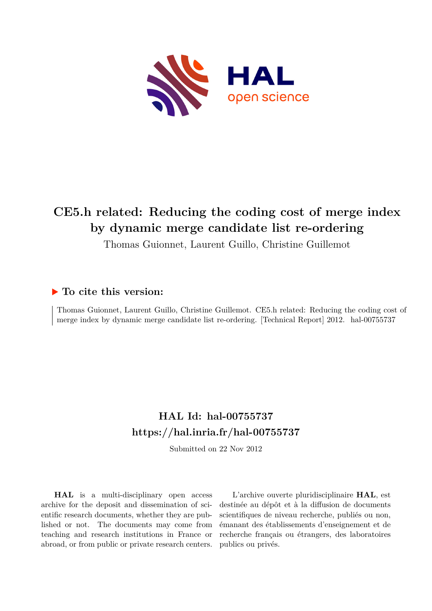

# **CE5.h related: Reducing the coding cost of merge index by dynamic merge candidate list re-ordering**

Thomas Guionnet, Laurent Guillo, Christine Guillemot

#### **To cite this version:**

Thomas Guionnet, Laurent Guillo, Christine Guillemot. CE5.h related: Reducing the coding cost of merge index by dynamic merge candidate list re-ordering. [Technical Report] 2012. hal-00755737

### **HAL Id: hal-00755737 <https://hal.inria.fr/hal-00755737>**

Submitted on 22 Nov 2012

**HAL** is a multi-disciplinary open access archive for the deposit and dissemination of scientific research documents, whether they are published or not. The documents may come from teaching and research institutions in France or abroad, or from public or private research centers.

L'archive ouverte pluridisciplinaire **HAL**, est destinée au dépôt et à la diffusion de documents scientifiques de niveau recherche, publiés ou non, émanant des établissements d'enseignement et de recherche français ou étrangers, des laboratoires publics ou privés.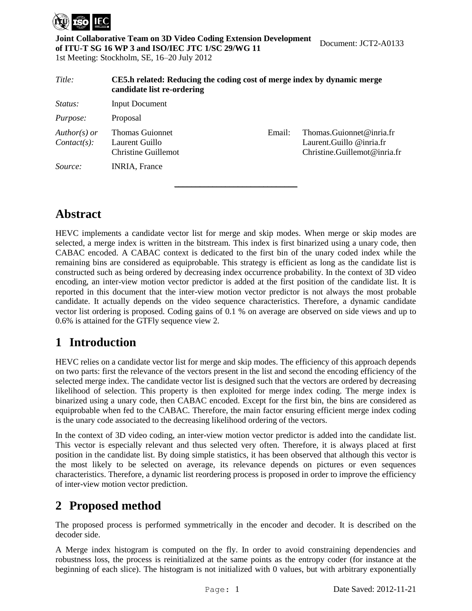

**Joint Collaborative Team on 3D Video Coding Extension Development of ITU-T SG 16 WP 3 and ISO/IEC JTC 1/SC 29/WG 11** 1st Meeting: Stockholm, SE, 16–20 July 2012

<span id="page-1-0"></span>*Title:* **CE5.h related: Reducing the coding cost of merge index by dynamic merge candidate list re-ordering** *Status:* Input Document Purpose: Proposal *Author(s) or Contact(s):* Thomas Guionnet Laurent Guillo Christine Guillemot Email: Thomas.Guionnet@inria.fr Laurent.Guillo @inria.fr Christine.Guillemot@inria.fr *Source:* INRIA, France

### **Abstract**

<span id="page-1-2"></span>HEVC implements a candidate vector list for merge and skip modes. When merge or skip modes are selected, a merge index is written in the bitstream. This index is first binarized using a unary code, then CABAC encoded. A CABAC context is dedicated to the first bin of the unary coded index while the remaining bins are considered as equiprobable. This strategy is efficient as long as the candidate list is constructed such as being ordered by decreasing index occurrence probability. In the context of 3D video encoding, an inter-view motion vector predictor is added at the first position of the candidate list. It is reported in this document that the inter-view motion vector predictor is not always the most probable candidate. It actually depends on the video sequence characteristics. Therefore, a dynamic candidate vector list ordering is proposed. Coding gains of 0.1 % on average are observed on side views and up to 0.6% is attained for the GTFly sequence view 2.

 $\overline{\phantom{a}}$  , where  $\overline{\phantom{a}}$  , where  $\overline{\phantom{a}}$  , where  $\overline{\phantom{a}}$ 

### **1 Introduction**

HEVC relies on a candidate vector list for merge and skip modes. The efficiency of this approach depends on two parts: first the relevance of the vectors present in the list and second the encoding efficiency of the selected merge index. The candidate vector list is designed such that the vectors are ordered by decreasing likelihood of selection. This property is then exploited for merge index coding. The merge index is binarized using a unary code, then CABAC encoded. Except for the first bin, the bins are considered as equiprobable when fed to the CABAC. Therefore, the main factor ensuring efficient merge index coding is the unary code associated to the decreasing likelihood ordering of the vectors.

In the context of 3D video coding, an inter-view motion vector predictor is added into the candidate list. This vector is especially relevant and thus selected very often. Therefore, it is always placed at first position in the candidate list. By doing simple statistics, it has been observed that although this vector is the most likely to be selected on average, its relevance depends on pictures or even sequences characteristics. Therefore, a dynamic list reordering process is proposed in order to improve the efficiency of inter-view motion vector prediction.

#### **2 Proposed method**

The proposed process is performed symmetrically in the encoder and decoder. It is described on the decoder side.

<span id="page-1-1"></span>A Merge index histogram is computed on the fly. In order to avoid constraining dependencies and robustness loss, the process is reinitialized at the same points as the entropy coder (for instance at the beginning of each slice). The histogram is not initialized with 0 values, but with arbitrary exponentially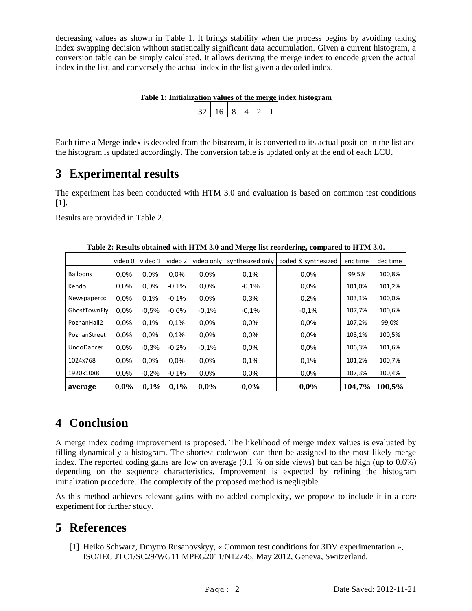decreasing values as shown in [Table 1.](#page-1-0) It brings stability when the process begins by avoiding taking index swapping decision without statistically significant data accumulation. Given a current histogram, a conversion table can be simply calculated. It allows deriving the merge index to encode given the actual index in the list, and conversely the actual index in the list given a decoded index.

|                         |  |  | Table 1: Initialization values of the merge index histogram |
|-------------------------|--|--|-------------------------------------------------------------|
| 32   16   8   4   2   1 |  |  |                                                             |

Each time a Merge index is decoded from the bitstream, it is converted to its actual position in the list and the histogram is updated accordingly. The conversion table is updated only at the end of each LCU.

### **3 Experimental results**

The experiment has been conducted with HTM 3.0 and evaluation is based on common test conditions [\[1\].](#page-1-1)

Results are provided in [Table 2.](#page-1-2)

|                   | video 0 | video 1 | video 2 | video only | synthesized only | ъ,<br>coded & synthesized | enc time | dec time |
|-------------------|---------|---------|---------|------------|------------------|---------------------------|----------|----------|
| <b>Balloons</b>   | $0.0\%$ | 0.0%    | $0.0\%$ | 0.0%       | 0.1%             | 0.0%                      | 99,5%    | 100,8%   |
| Kendo             | 0.0%    | 0.0%    | $-0.1%$ | 0.0%       | $-0.1%$          | 0.0%                      | 101,0%   | 101,2%   |
| Newspapercc       | 0.0%    | 0.1%    | $-0.1%$ | 0.0%       | 0.3%             | 0.2%                      | 103,1%   | 100,0%   |
| GhostTownFly      | 0.0%    | $-0.5%$ | $-0.6%$ | $-0,1%$    | $-0.1%$          | $-0.1%$                   | 107,7%   | 100,6%   |
| PoznanHall2       | 0.0%    | 0.1%    | 0.1%    | 0.0%       | 0.0%             | 0.0%                      | 107,2%   | 99,0%    |
| PoznanStreet      | 0.0%    | 0.0%    | 0.1%    | 0.0%       | 0.0%             | 0.0%                      | 108,1%   | 100,5%   |
| <b>UndoDancer</b> | 0.0%    | $-0.3%$ | $-0.2%$ | $-0.1%$    | $0.0\%$          | 0.0%                      | 106,3%   | 101,6%   |
| 1024x768          | 0.0%    | 0.0%    | $0.0\%$ | 0.0%       | 0.1%             | 0.1%                      | 101,2%   | 100,7%   |
| 1920x1088         | 0.0%    | $-0.2%$ | $-0.1%$ | 0.0%       | $0.0\%$          | 0.0%                      | 107,3%   | 100,4%   |
| average           | 0,0%    | $-0,1%$ | $-0,1%$ | 0,0%       | 0,0%             | 0,0%                      | 104,7%   | 100,5%   |

**Table 2: Results obtained with HTM 3.0 and Merge list reordering, compared to HTM 3.0.**

### **4 Conclusion**

A merge index coding improvement is proposed. The likelihood of merge index values is evaluated by filling dynamically a histogram. The shortest codeword can then be assigned to the most likely merge index. The reported coding gains are low on average (0.1 % on side views) but can be high (up to 0.6%) depending on the sequence characteristics. Improvement is expected by refining the histogram initialization procedure. The complexity of the proposed method is negligible.

As this method achieves relevant gains with no added complexity, we propose to include it in a core experiment for further study.

### **5 References**

[1] Heiko Schwarz, Dmytro Rusanovskyy, « Common test conditions for 3DV experimentation », ISO/IEC JTC1/SC29/WG11 MPEG2011/N12745, May 2012, Geneva, Switzerland.